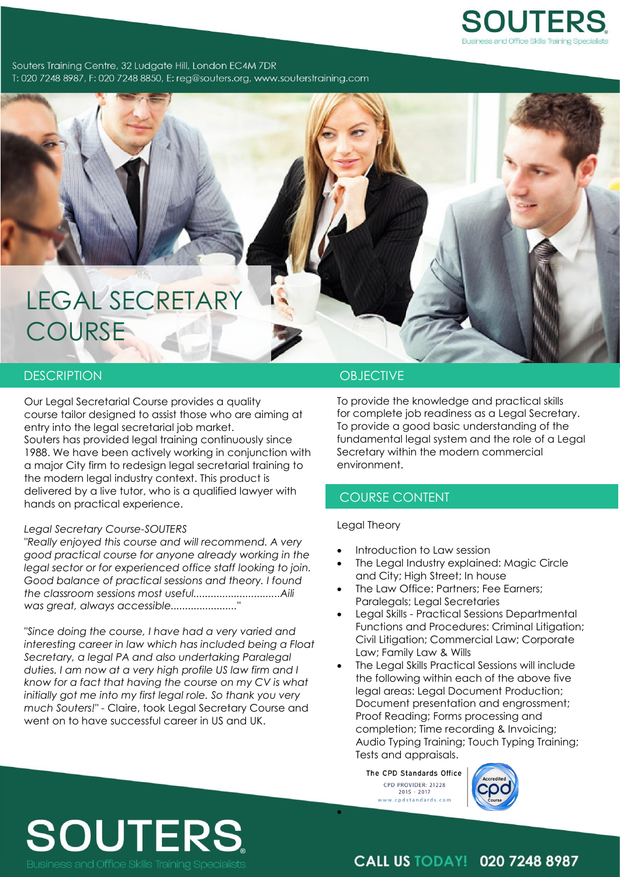

Souters Training Centre, 32 Ludgate Hill, London EC4M 7DR T: 020 7248 8987, F: 020 7248 8850, E: rea@souters.org, www.souterstraining.com

## LEGAL SECRETARY **COURSE**

### DESCRIPTION **OBJECTIVE**

Our Legal Secretarial Course provides a quality course tailor designed to assist those who are aiming at entry into the legal secretarial job market. Souters has provided legal training continuously since 1988. We have been actively working in conjunction with a major City firm to redesign legal secretarial training to the modern legal industry context. This product is delivered by a live tutor, who is a qualified lawyer with hands on practical experience.

#### *Legal Secretary Course-SOUTERS*

*"Really enjoyed this course and will recommend. A very good practical course for anyone already working in the legal sector or for experienced office staff looking to join. Good balance of practical sessions and theory. I found the classroom sessions most useful..............................Aili was great, always accessible......................."*

*"Since doing the course, I have had a very varied and interesting career in law which has included being a Float Secretary, a legal PA and also undertaking Paralegal duties. I am now at a very high profile US law firm and I know for a fact that having the course on my CV is what initially got me into my first legal role. So thank you very much Souters!"* - Claire, took Legal Secretary Course and went on to have successful career in US and UK.

To provide the knowledge and practical skills for complete job readiness as a Legal Secretary. To provide a good basic understanding of the fundamental legal system and the role of a Legal Secretary within the modern commercial environment.

### COURSE CONTENT

#### Legal Theory

- Introduction to Law session
- The Legal Industry explained: Magic Circle and City; High Street; In house
- The Law Office: Partners; Fee Earners; Paralegals; Legal Secretaries
- Legal Skills Practical Sessions Departmental Functions and Procedures: Criminal Litigation; Civil Litigation; Commercial Law; Corporate Law; Family Law & Wills
- The Legal Skills Practical Sessions will include the following within each of the above five legal areas: Legal Document Production; Document presentation and engrossment; Proof Reading; Forms processing and completion; Time recording & Invoicing; Audio Typing Training; Touch Typing Training; Tests and appraisals.

The CPD Standards Office CPD PROVIDER: 21228  $2015 - 2017$ www.cpdstandards.com

 $\bullet$ 



## **SOUTERS**

**CALL US TODAY! 020 7248 8987**